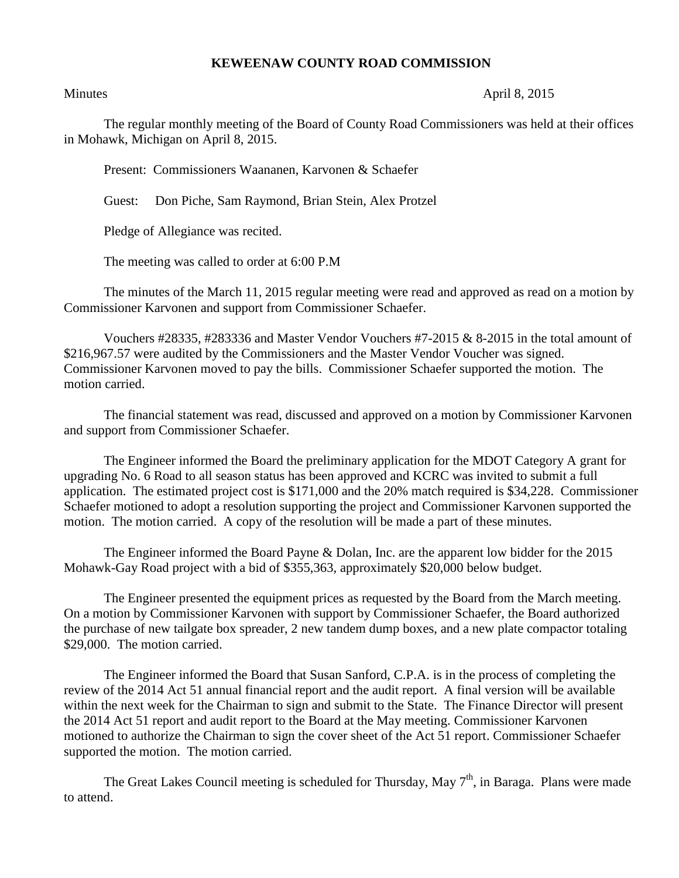## **KEWEENAW COUNTY ROAD COMMISSION**

## Minutes April 8, 2015

The regular monthly meeting of the Board of County Road Commissioners was held at their offices in Mohawk, Michigan on April 8, 2015.

Present: Commissioners Waananen, Karvonen & Schaefer

Guest: Don Piche, Sam Raymond, Brian Stein, Alex Protzel

Pledge of Allegiance was recited.

The meeting was called to order at 6:00 P.M

The minutes of the March 11, 2015 regular meeting were read and approved as read on a motion by Commissioner Karvonen and support from Commissioner Schaefer.

Vouchers #28335, #283336 and Master Vendor Vouchers #7-2015 & 8-2015 in the total amount of \$216,967.57 were audited by the Commissioners and the Master Vendor Voucher was signed. Commissioner Karvonen moved to pay the bills. Commissioner Schaefer supported the motion. The motion carried.

The financial statement was read, discussed and approved on a motion by Commissioner Karvonen and support from Commissioner Schaefer.

The Engineer informed the Board the preliminary application for the MDOT Category A grant for upgrading No. 6 Road to all season status has been approved and KCRC was invited to submit a full application. The estimated project cost is \$171,000 and the 20% match required is \$34,228. Commissioner Schaefer motioned to adopt a resolution supporting the project and Commissioner Karvonen supported the motion. The motion carried. A copy of the resolution will be made a part of these minutes.

The Engineer informed the Board Payne & Dolan, Inc. are the apparent low bidder for the 2015 Mohawk-Gay Road project with a bid of \$355,363, approximately \$20,000 below budget.

The Engineer presented the equipment prices as requested by the Board from the March meeting. On a motion by Commissioner Karvonen with support by Commissioner Schaefer, the Board authorized the purchase of new tailgate box spreader, 2 new tandem dump boxes, and a new plate compactor totaling \$29,000. The motion carried.

The Engineer informed the Board that Susan Sanford, C.P.A. is in the process of completing the review of the 2014 Act 51 annual financial report and the audit report. A final version will be available within the next week for the Chairman to sign and submit to the State. The Finance Director will present the 2014 Act 51 report and audit report to the Board at the May meeting. Commissioner Karvonen motioned to authorize the Chairman to sign the cover sheet of the Act 51 report. Commissioner Schaefer supported the motion. The motion carried.

The Great Lakes Council meeting is scheduled for Thursday, May  $7<sup>th</sup>$ , in Baraga. Plans were made to attend.